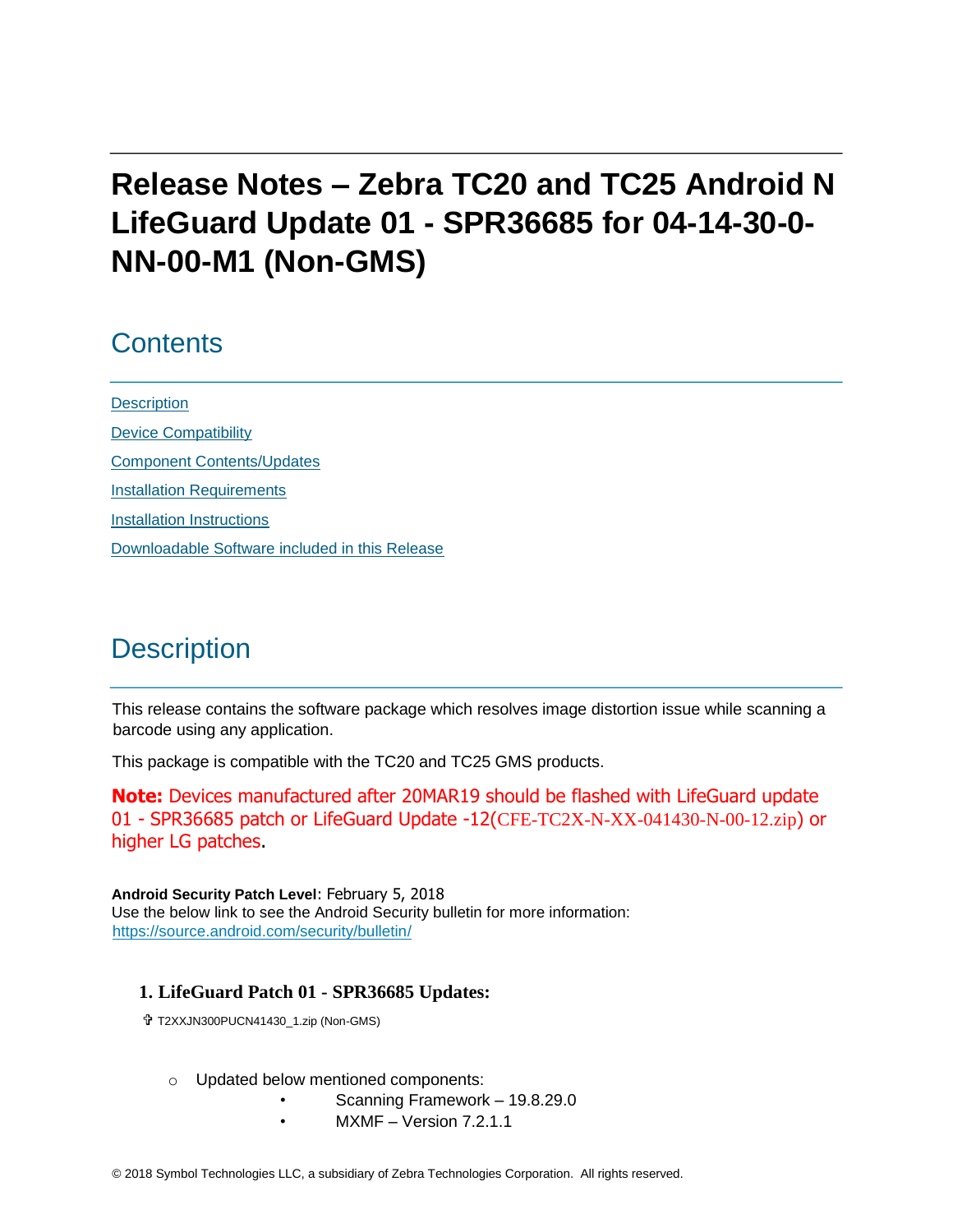# **Release Notes – Zebra TC20 and TC25 Android N LifeGuard Update 01 - SPR36685 for 04-14-30-0- NN-00-M1 (Non-GMS)**

### **Contents**

**[Description](#page-0-0)** [Device Compatibility](#page-1-0) [Component Contents/Updates](#page-1-1) [Installation Requirements](#page-2-0) [Installation Instructions](#page-2-1) [Downloadable Software included in this Release](#page-4-0)

### <span id="page-0-0"></span>**Description**

This release contains the software package which resolves image distortion issue while scanning a barcode using any application.

This package is compatible with the TC20 and TC25 GMS products.

**Note:** Devices manufactured after 20MAR19 should be flashed with LifeGuard update 01 - SPR36685 patch or LifeGuard Update -12(CFE-TC2X-N-XX-041430-N-00-12.zip) or higher LG patches.

**Android Security Patch Level**: February 5, 2018 Use the below link to see the Android Security bulletin for more information: <https://source.android.com/security/bulletin/>

#### **1. LifeGuard Patch 01 - SPR36685 Updates:**

T2XXJN300PUCN41430\_1.zip (Non-GMS)

- o Updated below mentioned components:
	- Scanning Framework 19.8.29.0
	- $MXMF Version 7.2.1.1$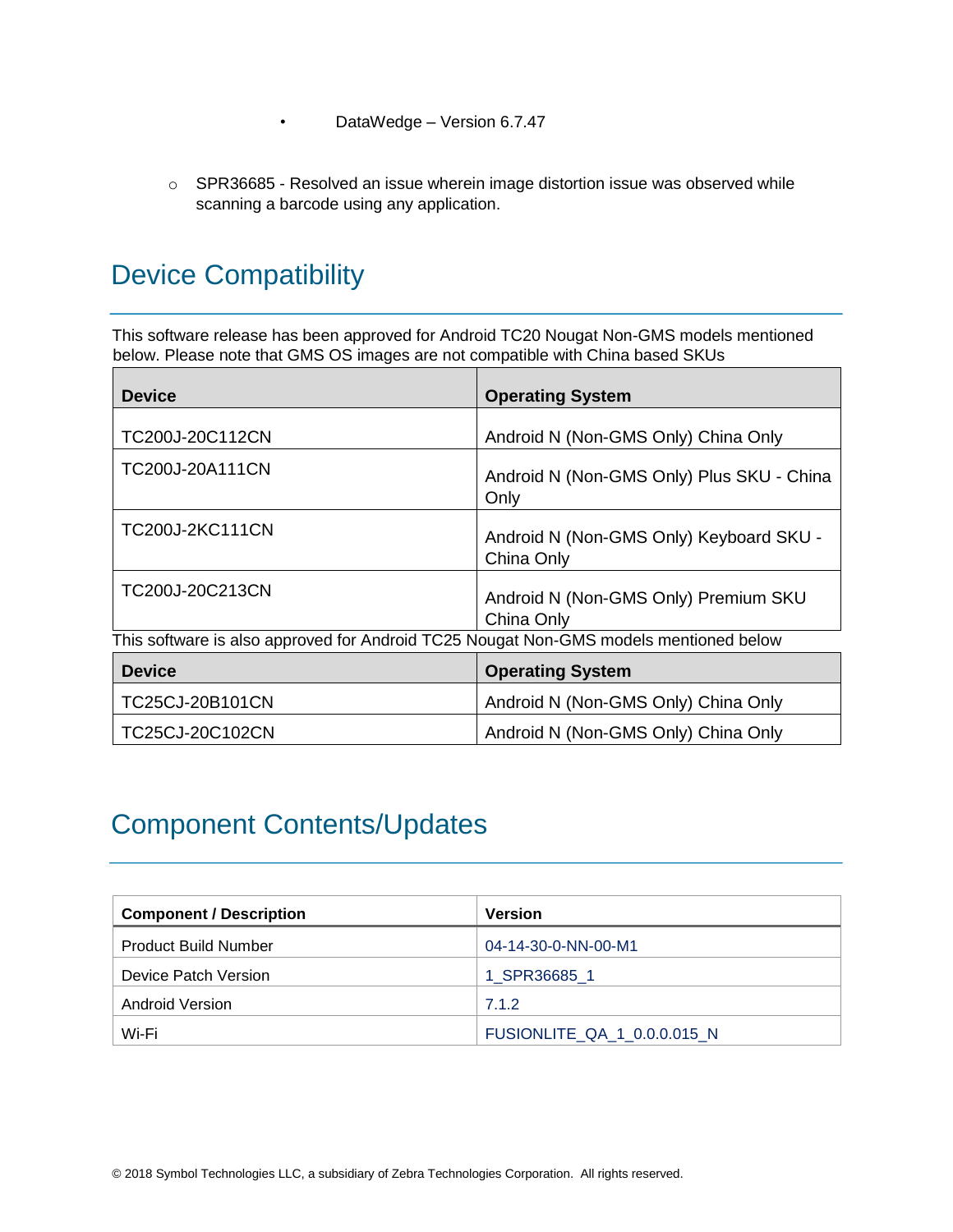- DataWedge Version 6.7.47
- o SPR36685 Resolved an issue wherein image distortion issue was observed while scanning a barcode using any application.

## <span id="page-1-0"></span>Device Compatibility

This software release has been approved for Android TC20 Nougat Non-GMS models mentioned below. Please note that GMS OS images are not compatible with China based SKUs

| <b>Device</b>                                                                         | <b>Operating System</b>                               |
|---------------------------------------------------------------------------------------|-------------------------------------------------------|
| TC200J-20C112CN                                                                       | Android N (Non-GMS Only) China Only                   |
| TC200J-20A111CN                                                                       | Android N (Non-GMS Only) Plus SKU - China<br>Only     |
| TC200J-2KC111CN                                                                       | Android N (Non-GMS Only) Keyboard SKU -<br>China Only |
| TC200J-20C213CN                                                                       | Android N (Non-GMS Only) Premium SKU<br>China Only    |
| This software is also approved for Android TC25 Nougat Non-GMS models mentioned below |                                                       |
| <b>Device</b>                                                                         | <b>Operating System</b>                               |
| TC25CJ-20B101CN                                                                       | Android N (Non-GMS Only) China Only                   |
| TC25CJ-20C102CN                                                                       | Android N (Non-GMS Only) China Only                   |

## <span id="page-1-1"></span>Component Contents/Updates

| <b>Component / Description</b> | Version                            |  |
|--------------------------------|------------------------------------|--|
| <b>Product Build Number</b>    | 04-14-30-0-NN-00-M1                |  |
| Device Patch Version           | 1 SPR36685 1                       |  |
| Android Version                | 7.1.2                              |  |
| Wi-Fi                          | <b>FUSIONLITE QA 1 0.0.0.015 N</b> |  |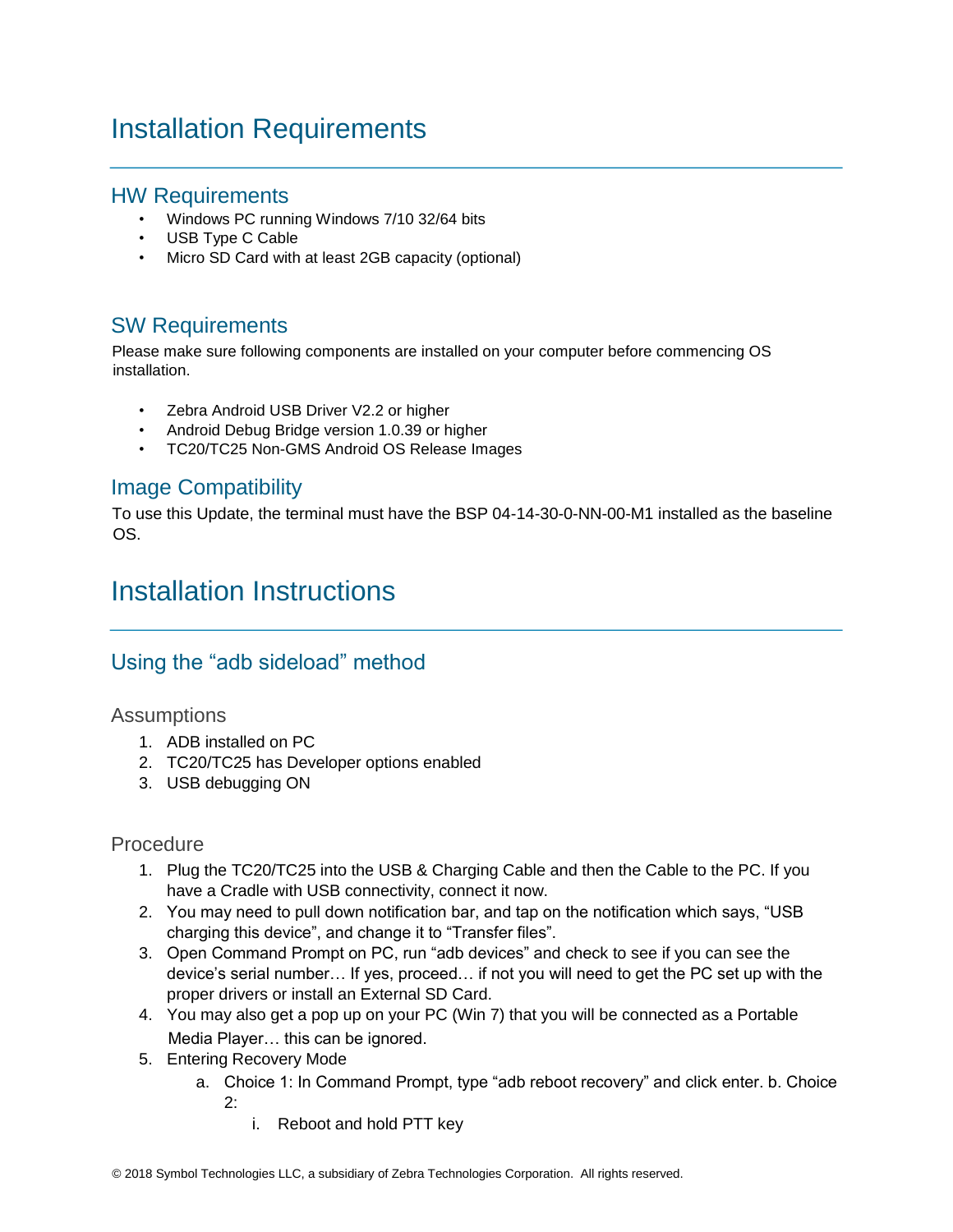## <span id="page-2-0"></span>Installation Requirements

#### HW Requirements

- Windows PC running Windows 7/10 32/64 bits
- USB Type C Cable
- Micro SD Card with at least 2GB capacity (optional)

### SW Requirements

Please make sure following components are installed on your computer before commencing OS installation.

- Zebra Android USB Driver V2.2 or higher
- Android Debug Bridge version 1.0.39 or higher
- TC20/TC25 Non-GMS Android OS Release Images

#### Image Compatibility

To use this Update, the terminal must have the BSP 04-14-30-0-NN-00-M1 installed as the baseline OS.

### <span id="page-2-1"></span>Installation Instructions

### Using the "adb sideload" method

#### Assumptions

- 1. ADB installed on PC
- 2. TC20/TC25 has Developer options enabled
- 3. USB debugging ON

#### Procedure

- 1. Plug the TC20/TC25 into the USB & Charging Cable and then the Cable to the PC. If you have a Cradle with USB connectivity, connect it now.
- 2. You may need to pull down notification bar, and tap on the notification which says, "USB charging this device", and change it to "Transfer files".
- 3. Open Command Prompt on PC, run "adb devices" and check to see if you can see the device's serial number… If yes, proceed… if not you will need to get the PC set up with the proper drivers or install an External SD Card.
- 4. You may also get a pop up on your PC (Win 7) that you will be connected as a Portable Media Player… this can be ignored.
- 5. Entering Recovery Mode
	- a. Choice 1: In Command Prompt, type "adb reboot recovery" and click enter. b. Choice 2:
		- i. Reboot and hold PTT key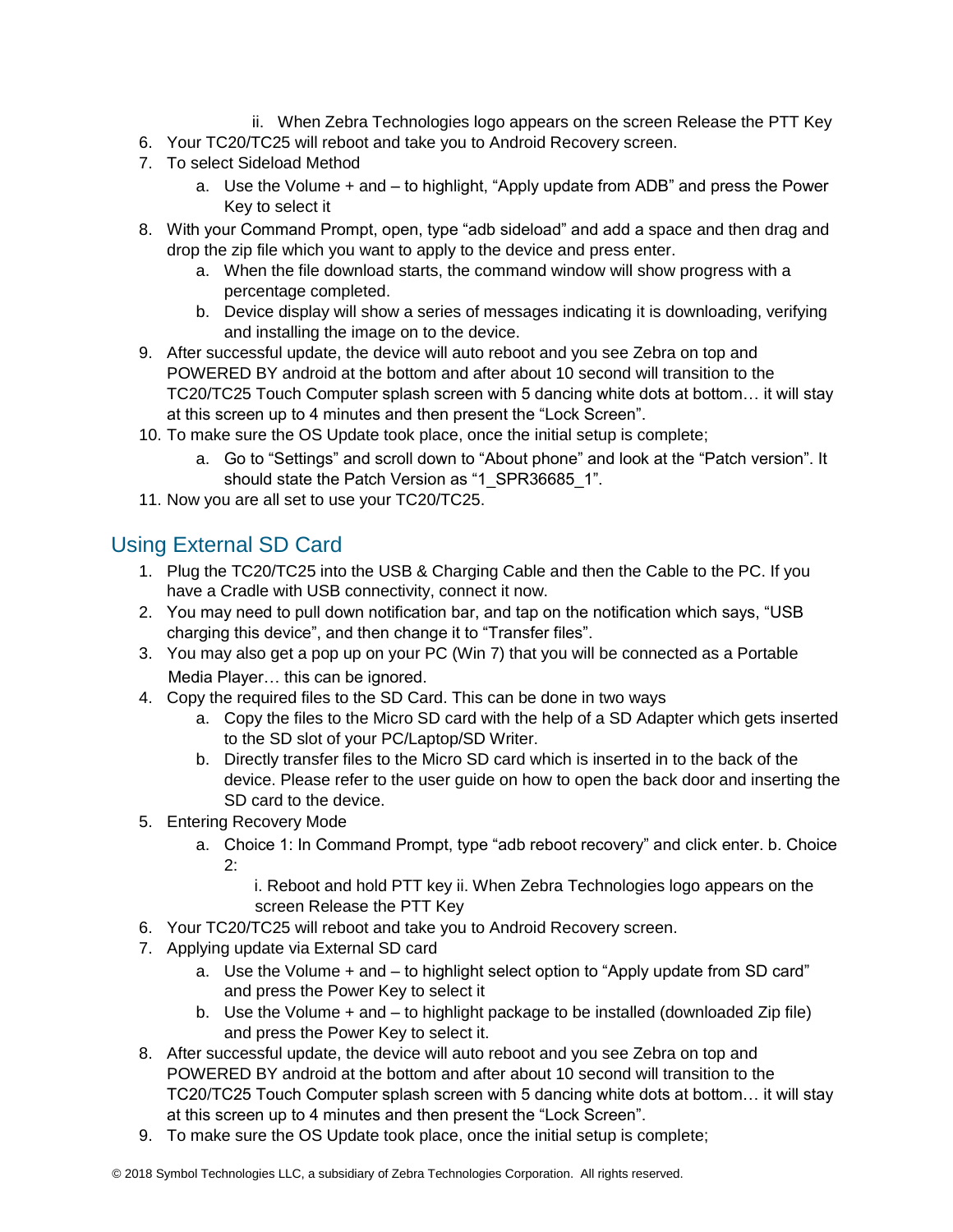- ii. When Zebra Technologies logo appears on the screen Release the PTT Key
- 6. Your TC20/TC25 will reboot and take you to Android Recovery screen.
- 7. To select Sideload Method
	- a. Use the Volume + and to highlight, "Apply update from ADB" and press the Power Key to select it
- 8. With your Command Prompt, open, type "adb sideload" and add a space and then drag and drop the zip file which you want to apply to the device and press enter.
	- a. When the file download starts, the command window will show progress with a percentage completed.
	- b. Device display will show a series of messages indicating it is downloading, verifying and installing the image on to the device.
- 9. After successful update, the device will auto reboot and you see Zebra on top and POWERED BY android at the bottom and after about 10 second will transition to the TC20/TC25 Touch Computer splash screen with 5 dancing white dots at bottom… it will stay at this screen up to 4 minutes and then present the "Lock Screen".
- 10. To make sure the OS Update took place, once the initial setup is complete;
	- a. Go to "Settings" and scroll down to "About phone" and look at the "Patch version". It should state the Patch Version as "1\_SPR36685\_1".
- 11. Now you are all set to use your TC20/TC25.

### Using External SD Card

- 1. Plug the TC20/TC25 into the USB & Charging Cable and then the Cable to the PC. If you have a Cradle with USB connectivity, connect it now.
- 2. You may need to pull down notification bar, and tap on the notification which says, "USB charging this device", and then change it to "Transfer files".
- 3. You may also get a pop up on your PC (Win 7) that you will be connected as a Portable Media Player… this can be ignored.
- 4. Copy the required files to the SD Card. This can be done in two ways
	- a. Copy the files to the Micro SD card with the help of a SD Adapter which gets inserted to the SD slot of your PC/Laptop/SD Writer.
	- b. Directly transfer files to the Micro SD card which is inserted in to the back of the device. Please refer to the user guide on how to open the back door and inserting the SD card to the device.
- 5. Entering Recovery Mode
	- a. Choice 1: In Command Prompt, type "adb reboot recovery" and click enter. b. Choice 2:

i. Reboot and hold PTT key ii. When Zebra Technologies logo appears on the screen Release the PTT Key

- 6. Your TC20/TC25 will reboot and take you to Android Recovery screen.
- 7. Applying update via External SD card
	- a. Use the Volume + and to highlight select option to "Apply update from SD card" and press the Power Key to select it
	- b. Use the Volume + and to highlight package to be installed (downloaded Zip file) and press the Power Key to select it.
- 8. After successful update, the device will auto reboot and you see Zebra on top and POWERED BY android at the bottom and after about 10 second will transition to the TC20/TC25 Touch Computer splash screen with 5 dancing white dots at bottom… it will stay at this screen up to 4 minutes and then present the "Lock Screen".
- 9. To make sure the OS Update took place, once the initial setup is complete;